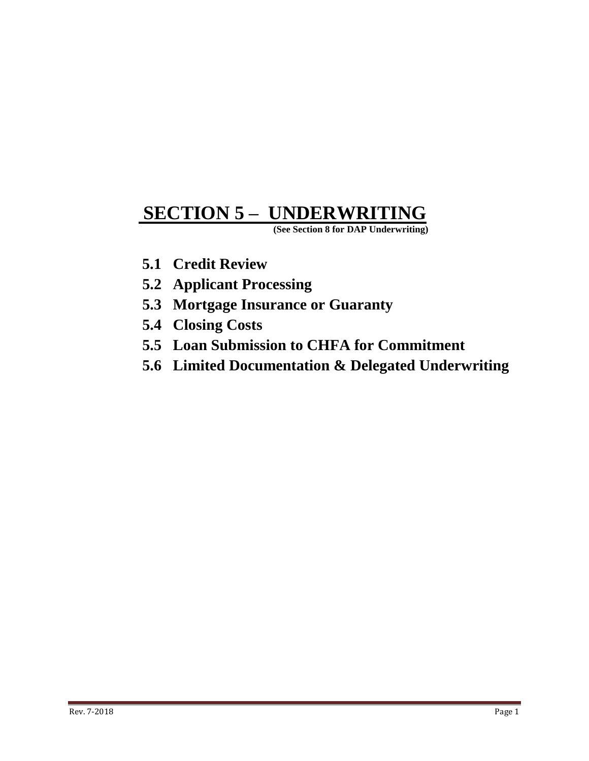# **SECTION 5 – UNDERWRITING**

 **(See Section 8 for DAP Underwriting)**

- **5.1 Credit Review**
- **5.2 Applicant Processing**
- **5.3 Mortgage Insurance or Guaranty**
- **5.4 Closing Costs**
- **5.5 Loan Submission to CHFA for Commitment**
- **5.6 Limited Documentation & Delegated Underwriting**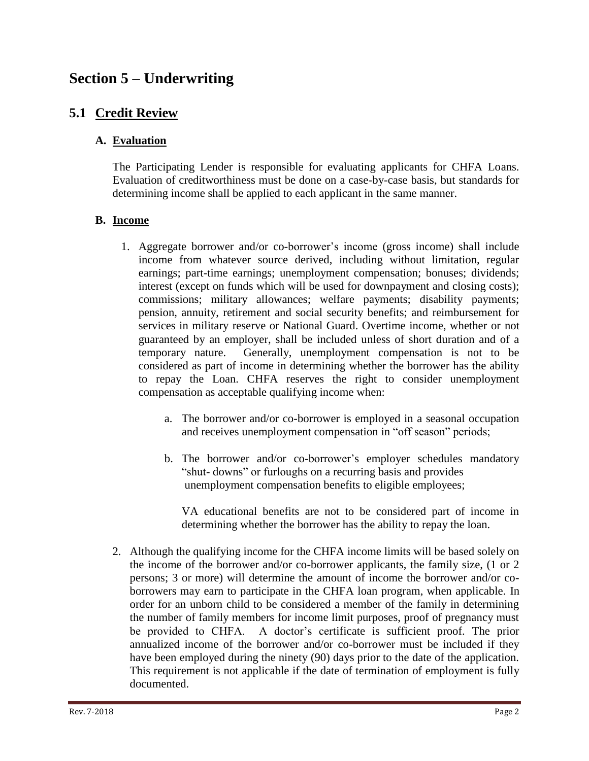## **Section 5 – Underwriting**

## **5.1 Credit Review**

#### **A. Evaluation**

The Participating Lender is responsible for evaluating applicants for CHFA Loans. Evaluation of creditworthiness must be done on a case-by-case basis, but standards for determining income shall be applied to each applicant in the same manner.

#### **B. Income**

- 1. Aggregate borrower and/or co-borrower's income (gross income) shall include income from whatever source derived, including without limitation, regular earnings; part-time earnings; unemployment compensation; bonuses; dividends; interest (except on funds which will be used for downpayment and closing costs); commissions; military allowances; welfare payments; disability payments; pension, annuity, retirement and social security benefits; and reimbursement for services in military reserve or National Guard. Overtime income, whether or not guaranteed by an employer, shall be included unless of short duration and of a temporary nature. Generally, unemployment compensation is not to be considered as part of income in determining whether the borrower has the ability to repay the Loan. CHFA reserves the right to consider unemployment compensation as acceptable qualifying income when:
	- a. The borrower and/or co-borrower is employed in a seasonal occupation and receives unemployment compensation in "off season" periods;
	- b. The borrower and/or co-borrower's employer schedules mandatory "shut- downs" or furloughs on a recurring basis and provides unemployment compensation benefits to eligible employees;

VA educational benefits are not to be considered part of income in determining whether the borrower has the ability to repay the loan.

2. Although the qualifying income for the CHFA income limits will be based solely on the income of the borrower and/or co-borrower applicants, the family size, (1 or 2 persons; 3 or more) will determine the amount of income the borrower and/or coborrowers may earn to participate in the CHFA loan program, when applicable. In order for an unborn child to be considered a member of the family in determining the number of family members for income limit purposes, proof of pregnancy must be provided to CHFA. A doctor's certificate is sufficient proof. The prior annualized income of the borrower and/or co-borrower must be included if they have been employed during the ninety (90) days prior to the date of the application. This requirement is not applicable if the date of termination of employment is fully documented.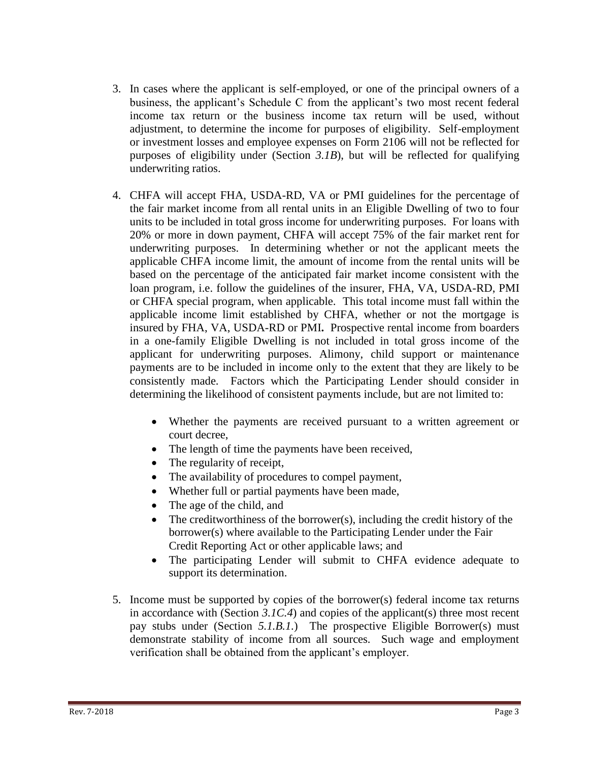- 3. In cases where the applicant is self-employed, or one of the principal owners of a business, the applicant's Schedule C from the applicant's two most recent federal income tax return or the business income tax return will be used, without adjustment, to determine the income for purposes of eligibility. Self-employment or investment losses and employee expenses on Form 2106 will not be reflected for purposes of eligibility under (Section *3.1B*), but will be reflected for qualifying underwriting ratios.
- 4. CHFA will accept FHA, USDA-RD, VA or PMI guidelines for the percentage of the fair market income from all rental units in an Eligible Dwelling of two to four units to be included in total gross income for underwriting purposes. For loans with 20% or more in down payment, CHFA will accept 75% of the fair market rent for underwriting purposes. In determining whether or not the applicant meets the applicable CHFA income limit, the amount of income from the rental units will be based on the percentage of the anticipated fair market income consistent with the loan program, i.e. follow the guidelines of the insurer, FHA, VA, USDA-RD, PMI or CHFA special program, when applicable. This total income must fall within the applicable income limit established by CHFA, whether or not the mortgage is insured by FHA, VA, USDA-RD or PMI**.** Prospective rental income from boarders in a one-family Eligible Dwelling is not included in total gross income of the applicant for underwriting purposes. Alimony, child support or maintenance payments are to be included in income only to the extent that they are likely to be consistently made. Factors which the Participating Lender should consider in determining the likelihood of consistent payments include, but are not limited to:
	- Whether the payments are received pursuant to a written agreement or court decree,
	- The length of time the payments have been received,
	- The regularity of receipt,
	- The availability of procedures to compel payment,
	- Whether full or partial payments have been made,
	- The age of the child, and
	- The creditworthiness of the borrower(s), including the credit history of the borrower(s) where available to the Participating Lender under the Fair Credit Reporting Act or other applicable laws; and
	- The participating Lender will submit to CHFA evidence adequate to support its determination.
- 5. Income must be supported by copies of the borrower(s) federal income tax returns in accordance with (Section *3.1C.4*) and copies of the applicant(s) three most recent pay stubs under (Section *5.1.B.1.*) The prospective Eligible Borrower(s) must demonstrate stability of income from all sources. Such wage and employment verification shall be obtained from the applicant's employer.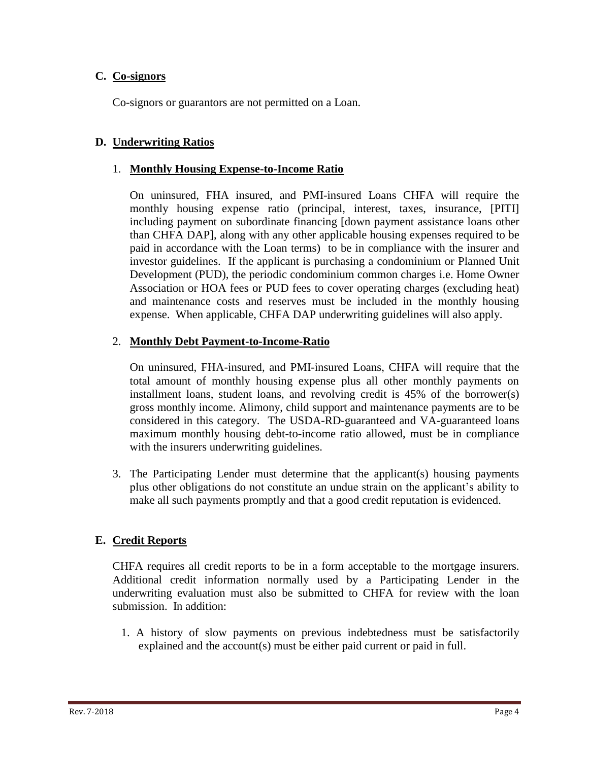#### **C. Co-signors**

Co-signors or guarantors are not permitted on a Loan.

#### **D. Underwriting Ratios**

#### 1. **Monthly Housing Expense-to-Income Ratio**

On uninsured, FHA insured, and PMI-insured Loans CHFA will require the monthly housing expense ratio (principal, interest, taxes, insurance, [PITI] including payment on subordinate financing [down payment assistance loans other than CHFA DAP], along with any other applicable housing expenses required to be paid in accordance with the Loan terms) to be in compliance with the insurer and investor guidelines. If the applicant is purchasing a condominium or Planned Unit Development (PUD), the periodic condominium common charges i.e. Home Owner Association or HOA fees or PUD fees to cover operating charges (excluding heat) and maintenance costs and reserves must be included in the monthly housing expense. When applicable, CHFA DAP underwriting guidelines will also apply.

#### 2. **Monthly Debt Payment-to-Income-Ratio**

On uninsured, FHA-insured, and PMI-insured Loans, CHFA will require that the total amount of monthly housing expense plus all other monthly payments on installment loans, student loans, and revolving credit is 45% of the borrower(s) gross monthly income. Alimony, child support and maintenance payments are to be considered in this category. The USDA-RD-guaranteed and VA-guaranteed loans maximum monthly housing debt-to-income ratio allowed, must be in compliance with the insurers underwriting guidelines.

3. The Participating Lender must determine that the applicant(s) housing payments plus other obligations do not constitute an undue strain on the applicant's ability to make all such payments promptly and that a good credit reputation is evidenced.

#### **E. Credit Reports**

CHFA requires all credit reports to be in a form acceptable to the mortgage insurers. Additional credit information normally used by a Participating Lender in the underwriting evaluation must also be submitted to CHFA for review with the loan submission. In addition:

1. A history of slow payments on previous indebtedness must be satisfactorily explained and the account(s) must be either paid current or paid in full.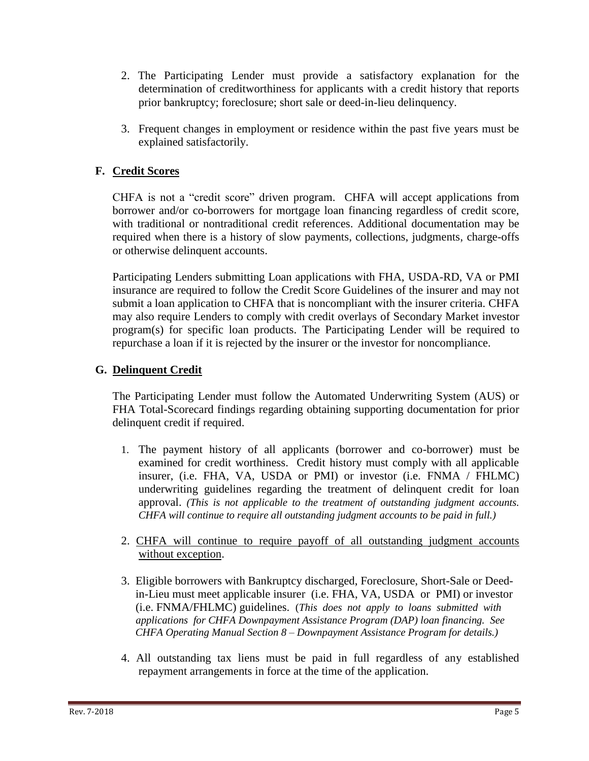- 2. The Participating Lender must provide a satisfactory explanation for the determination of creditworthiness for applicants with a credit history that reports prior bankruptcy; foreclosure; short sale or deed-in-lieu delinquency.
- 3. Frequent changes in employment or residence within the past five years must be explained satisfactorily.

## **F. Credit Scores**

CHFA is not a "credit score" driven program. CHFA will accept applications from borrower and/or co-borrowers for mortgage loan financing regardless of credit score, with traditional or nontraditional credit references. Additional documentation may be required when there is a history of slow payments, collections, judgments, charge-offs or otherwise delinquent accounts.

Participating Lenders submitting Loan applications with FHA, USDA-RD, VA or PMI insurance are required to follow the Credit Score Guidelines of the insurer and may not submit a loan application to CHFA that is noncompliant with the insurer criteria. CHFA may also require Lenders to comply with credit overlays of Secondary Market investor program(s) for specific loan products. The Participating Lender will be required to repurchase a loan if it is rejected by the insurer or the investor for noncompliance.

#### **G. Delinquent Credit**

The Participating Lender must follow the Automated Underwriting System (AUS) or FHA Total-Scorecard findings regarding obtaining supporting documentation for prior delinquent credit if required.

- 1. The payment history of all applicants (borrower and co-borrower) must be examined for credit worthiness. Credit history must comply with all applicable insurer, (i.e. FHA, VA, USDA or PMI) or investor (i.e. FNMA / FHLMC) underwriting guidelines regarding the treatment of delinquent credit for loan approval. *(This is not applicable to the treatment of outstanding judgment accounts. CHFA will continue to require all outstanding judgment accounts to be paid in full.)*
- 2. CHFA will continue to require payoff of all outstanding judgment accounts without exception.
- 3. Eligible borrowers with Bankruptcy discharged, Foreclosure, Short-Sale or Deed in-Lieu must meet applicable insurer (i.e. FHA, VA, USDA or PMI) or investor (i.e. FNMA/FHLMC) guidelines. (*This does not apply to loans submitted with applications for CHFA Downpayment Assistance Program (DAP) loan financing. See CHFA Operating Manual Section 8 – Downpayment Assistance Program for details.)*
- 4. All outstanding tax liens must be paid in full regardless of any established repayment arrangements in force at the time of the application.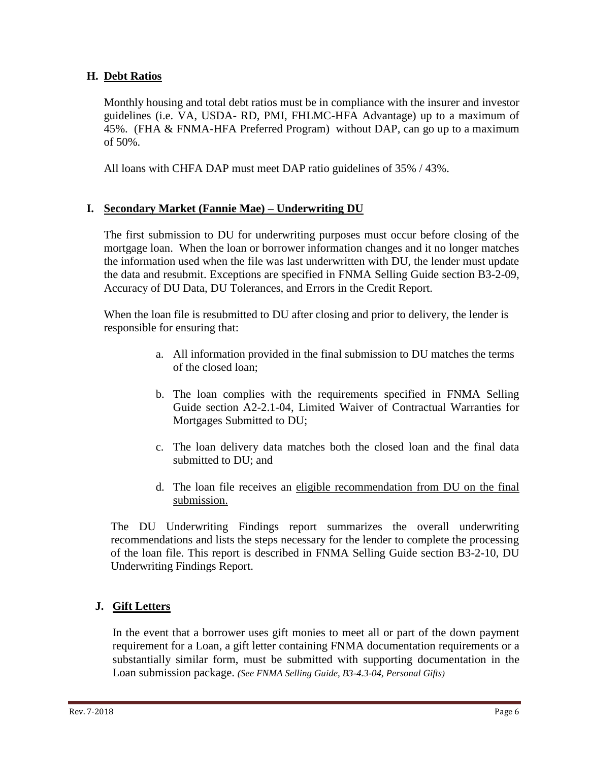#### **H. Debt Ratios**

Monthly housing and total debt ratios must be in compliance with the insurer and investor guidelines (i.e. VA, USDA- RD, PMI, FHLMC-HFA Advantage) up to a maximum of 45%. (FHA & FNMA-HFA Preferred Program) without DAP, can go up to a maximum of 50%.

All loans with CHFA DAP must meet DAP ratio guidelines of 35% / 43%.

## **I. Secondary Market (Fannie Mae) – Underwriting DU**

The first submission to DU for underwriting purposes must occur before closing of the mortgage loan. When the loan or borrower information changes and it no longer matches the information used when the file was last underwritten with DU, the lender must update the data and resubmit. Exceptions are specified in FNMA Selling Guide section B3-2-09, Accuracy of DU Data, DU Tolerances, and Errors in the Credit Report.

When the loan file is resubmitted to DU after closing and prior to delivery, the lender is responsible for ensuring that:

- a. All information provided in the final submission to DU matches the terms of the closed loan;
- b. The loan complies with the requirements specified in FNMA Selling Guide section A2-2.1-04, Limited Waiver of Contractual Warranties for Mortgages Submitted to DU;
- c. The loan delivery data matches both the closed loan and the final data submitted to DU; and
- d. The loan file receives an eligible recommendation from DU on the final submission.

The DU Underwriting Findings report summarizes the overall underwriting recommendations and lists the steps necessary for the lender to complete the processing of the loan file. This report is described in FNMA Selling Guide section B3-2-10, DU Underwriting Findings Report.

#### **J. Gift Letters**

In the event that a borrower uses gift monies to meet all or part of the down payment requirement for a Loan, a gift letter containing FNMA documentation requirements or a substantially similar form, must be submitted with supporting documentation in the Loan submission package. *(See FNMA Selling Guide, B3-4.3-04, Personal Gifts)*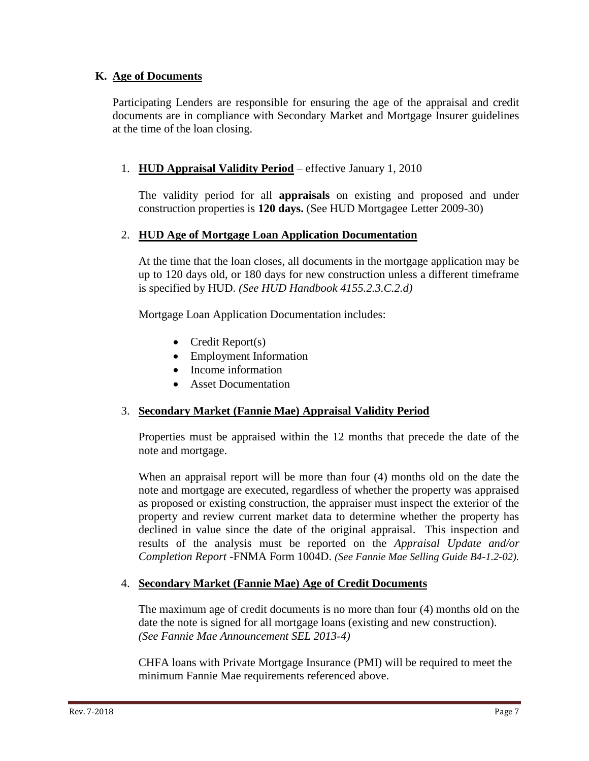#### **K. Age of Documents**

Participating Lenders are responsible for ensuring the age of the appraisal and credit documents are in compliance with Secondary Market and Mortgage Insurer guidelines at the time of the loan closing.

#### 1. **HUD Appraisal Validity Period** – effective January 1, 2010

The validity period for all **appraisals** on existing and proposed and under construction properties is **120 days.** (See HUD Mortgagee Letter 2009-30)

#### 2. **HUD Age of Mortgage Loan Application Documentation**

At the time that the loan closes, all documents in the mortgage application may be up to 120 days old, or 180 days for new construction unless a different timeframe is specified by HUD. *(See HUD Handbook 4155.2.3.C.2.d)*

Mortgage Loan Application Documentation includes:

- Credit Report $(s)$
- Employment Information
- Income information
- Asset Documentation

#### 3. **Secondary Market (Fannie Mae) Appraisal Validity Period**

Properties must be appraised within the 12 months that precede the date of the note and mortgage.

When an appraisal report will be more than four (4) months old on the date the note and mortgage are executed, regardless of whether the property was appraised as proposed or existing construction, the appraiser must inspect the exterior of the property and review current market data to determine whether the property has declined in value since the date of the original appraisal. This inspection and results of the analysis must be reported on the *Appraisal Update and/or Completion Report* -FNMA Form 1004D. *(See Fannie Mae Selling Guide B4-1.2-02).*

#### 4. **Secondary Market (Fannie Mae) Age of Credit Documents**

The maximum age of credit documents is no more than four (4) months old on the date the note is signed for all mortgage loans (existing and new construction). *(See Fannie Mae Announcement SEL 2013-4)*

CHFA loans with Private Mortgage Insurance (PMI) will be required to meet the minimum Fannie Mae requirements referenced above.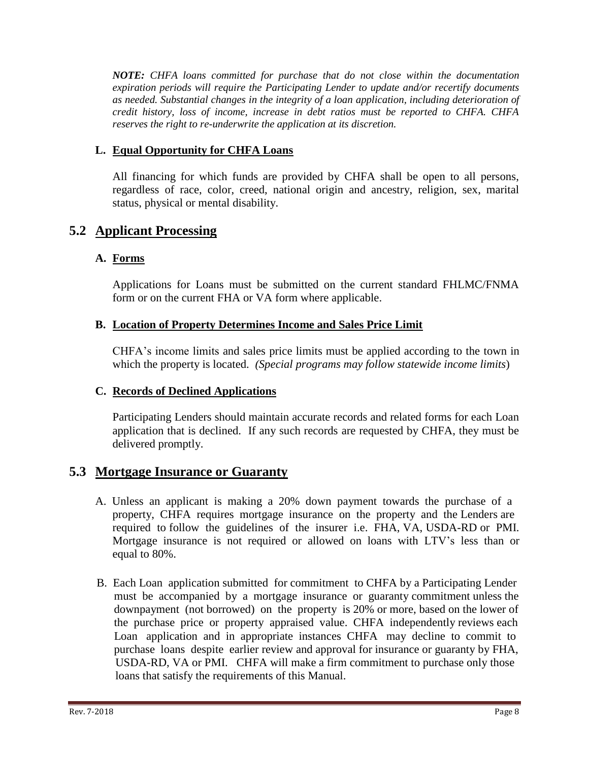*NOTE: CHFA loans committed for purchase that do not close within the documentation expiration periods will require the Participating Lender to update and/or recertify documents as needed. Substantial changes in the integrity of a loan application, including deterioration of credit history, loss of income, increase in debt ratios must be reported to CHFA. CHFA reserves the right to re-underwrite the application at its discretion.* 

## **L. Equal Opportunity for CHFA Loans**

All financing for which funds are provided by CHFA shall be open to all persons, regardless of race, color, creed, national origin and ancestry, religion, sex, marital status, physical or mental disability.

## **5.2 Applicant Processing**

#### **A. Forms**

Applications for Loans must be submitted on the current standard FHLMC/FNMA form or on the current FHA or VA form where applicable.

#### **B. Location of Property Determines Income and Sales Price Limit**

CHFA's income limits and sales price limits must be applied according to the town in which the property is located. *(Special programs may follow statewide income limits*)

#### **C. Records of Declined Applications**

Participating Lenders should maintain accurate records and related forms for each Loan application that is declined. If any such records are requested by CHFA, they must be delivered promptly.

## **5.3 Mortgage Insurance or Guaranty**

- A. Unless an applicant is making a 20% down payment towards the purchase of a property, CHFA requires mortgage insurance on the property and the Lenders are required to follow the guidelines of the insurer i.e. FHA, VA, USDA-RD or PMI. Mortgage insurance is not required or allowed on loans with LTV's less than or equal to 80%.
- B. Each Loan application submitted for commitment to CHFA by a Participating Lender must be accompanied by a mortgage insurance or guaranty commitment unless the downpayment (not borrowed) on the property is 20% or more, based on the lower of the purchase price or property appraised value. CHFA independently reviews each Loan application and in appropriate instances CHFA may decline to commit to purchase loans despite earlier review and approval for insurance or guaranty by FHA, USDA-RD, VA or PMI. CHFA will make a firm commitment to purchase only those loans that satisfy the requirements of this Manual.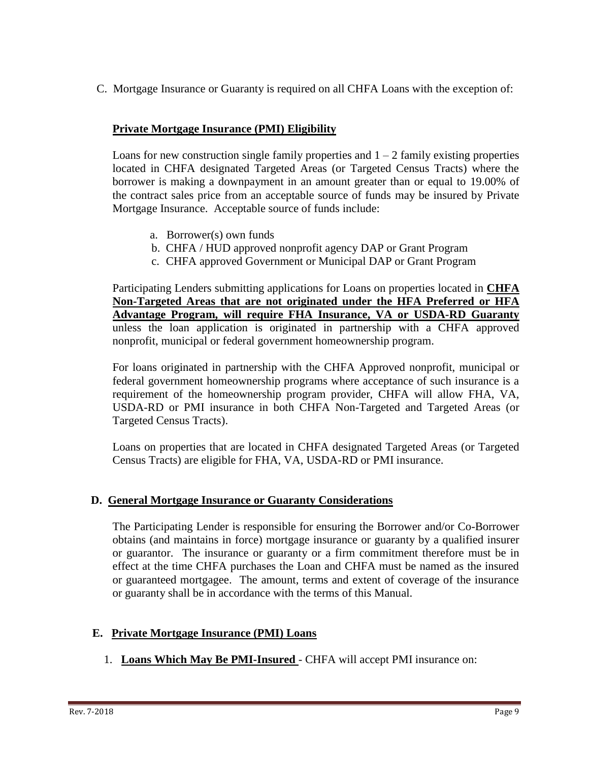C. Mortgage Insurance or Guaranty is required on all CHFA Loans with the exception of:

#### **Private Mortgage Insurance (PMI) Eligibility**

Loans for new construction single family properties and  $1 - 2$  family existing properties located in CHFA designated Targeted Areas (or Targeted Census Tracts) where the borrower is making a downpayment in an amount greater than or equal to 19.00% of the contract sales price from an acceptable source of funds may be insured by Private Mortgage Insurance. Acceptable source of funds include:

- a. Borrower(s) own funds
- b. CHFA / HUD approved nonprofit agency DAP or Grant Program
- c. CHFA approved Government or Municipal DAP or Grant Program

Participating Lenders submitting applications for Loans on properties located in **CHFA Non-Targeted Areas that are not originated under the HFA Preferred or HFA Advantage Program, will require FHA Insurance, VA or USDA-RD Guaranty** unless the loan application is originated in partnership with a CHFA approved nonprofit, municipal or federal government homeownership program.

For loans originated in partnership with the CHFA Approved nonprofit, municipal or federal government homeownership programs where acceptance of such insurance is a requirement of the homeownership program provider, CHFA will allow FHA, VA, USDA-RD or PMI insurance in both CHFA Non-Targeted and Targeted Areas (or Targeted Census Tracts).

Loans on properties that are located in CHFA designated Targeted Areas (or Targeted Census Tracts) are eligible for FHA, VA, USDA-RD or PMI insurance.

#### **D. General Mortgage Insurance or Guaranty Considerations**

The Participating Lender is responsible for ensuring the Borrower and/or Co-Borrower obtains (and maintains in force) mortgage insurance or guaranty by a qualified insurer or guarantor. The insurance or guaranty or a firm commitment therefore must be in effect at the time CHFA purchases the Loan and CHFA must be named as the insured or guaranteed mortgagee. The amount, terms and extent of coverage of the insurance or guaranty shall be in accordance with the terms of this Manual.

#### **E. Private Mortgage Insurance (PMI) Loans**

1. **Loans Which May Be PMI-Insured** - CHFA will accept PMI insurance on: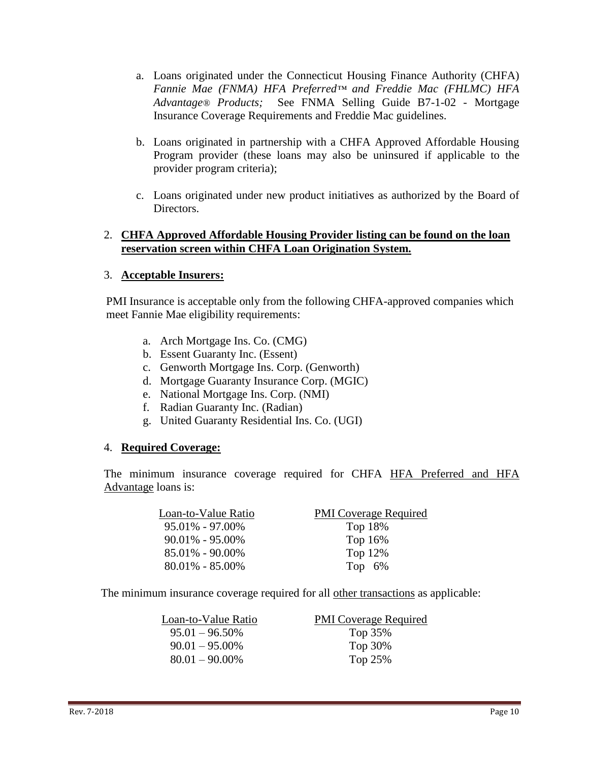- a. Loans originated under the Connecticut Housing Finance Authority (CHFA) *Fannie Mae (FNMA) HFA Preferred™ and Freddie Mac (FHLMC) HFA Advantage® Products;* See FNMA Selling Guide B7-1-02 - Mortgage Insurance Coverage Requirements and Freddie Mac guidelines.
- b. Loans originated in partnership with a CHFA Approved Affordable Housing Program provider (these loans may also be uninsured if applicable to the provider program criteria);
- c. Loans originated under new product initiatives as authorized by the Board of Directors.

#### 2. **CHFA Approved Affordable Housing Provider listing can be found on the loan reservation screen within CHFA Loan Origination System.**

#### 3. **Acceptable Insurers:**

PMI Insurance is acceptable only from the following CHFA-approved companies which meet Fannie Mae eligibility requirements:

- a. Arch Mortgage Ins. Co. (CMG)
- b. Essent Guaranty Inc. (Essent)
- c. Genworth Mortgage Ins. Corp. (Genworth)
- d. Mortgage Guaranty Insurance Corp. (MGIC)
- e. National Mortgage Ins. Corp. (NMI)
- f. Radian Guaranty Inc. (Radian)
- g. United Guaranty Residential Ins. Co. (UGI)

#### 4. **Required Coverage:**

 The minimum insurance coverage required for CHFA HFA Preferred and HFA Advantage loans is:

| Loan-to-Value Ratio | <b>PMI</b> Coverage Required |
|---------------------|------------------------------|
| $95.01\% - 97.00\%$ | Top 18%                      |
| $90.01\% - 95.00\%$ | Top 16%                      |
| $85.01\% - 90.00\%$ | Top 12%                      |
| $80.01\% - 85.00\%$ | Top $6\%$                    |

The minimum insurance coverage required for all other transactions as applicable:

| <b>PMI</b> Coverage Required |
|------------------------------|
| Top 35%                      |
| Top 30%                      |
| Top 25%                      |
|                              |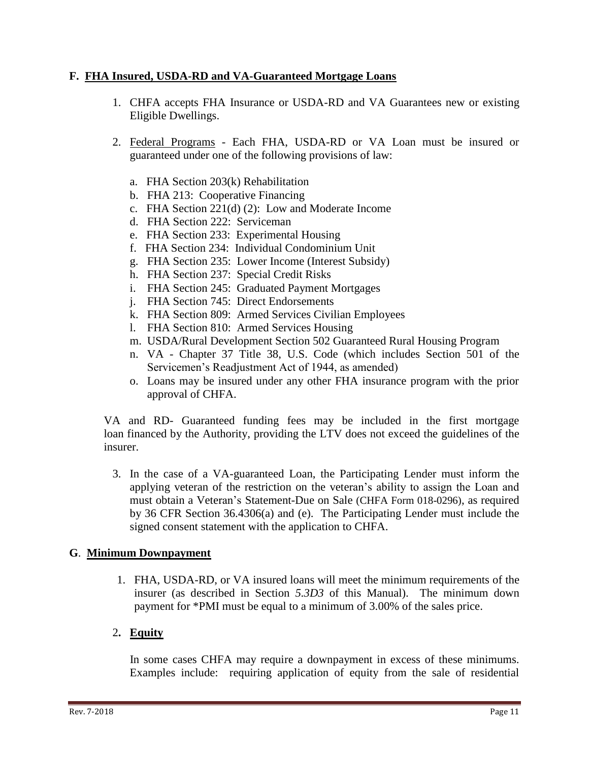#### **F. FHA Insured, USDA-RD and VA-Guaranteed Mortgage Loans**

- 1. CHFA accepts FHA Insurance or USDA-RD and VA Guarantees new or existing Eligible Dwellings.
- 2. Federal Programs Each FHA, USDA-RD or VA Loan must be insured or guaranteed under one of the following provisions of law:
	- a. FHA Section 203(k) Rehabilitation
	- b. FHA 213: Cooperative Financing
	- c. FHA Section 221(d) (2): Low and Moderate Income
	- d. FHA Section 222: Serviceman
	- e. FHA Section 233: Experimental Housing
	- f. FHA Section 234: Individual Condominium Unit
	- g. FHA Section 235: Lower Income (Interest Subsidy)
	- h. FHA Section 237: Special Credit Risks
	- i. FHA Section 245: Graduated Payment Mortgages
	- j. FHA Section 745: Direct Endorsements
	- k. FHA Section 809: Armed Services Civilian Employees
	- l. FHA Section 810: Armed Services Housing
	- m. USDA/Rural Development Section 502 Guaranteed Rural Housing Program
	- n. VA Chapter 37 Title 38, U.S. Code (which includes Section 501 of the Servicemen's Readjustment Act of 1944, as amended)
	- o. Loans may be insured under any other FHA insurance program with the prior approval of CHFA.

VA and RD- Guaranteed funding fees may be included in the first mortgage loan financed by the Authority, providing the LTV does not exceed the guidelines of the insurer.

3. In the case of a VA-guaranteed Loan, the Participating Lender must inform the applying veteran of the restriction on the veteran's ability to assign the Loan and must obtain a Veteran's Statement-Due on Sale (CHFA Form 018-0296), as required by 36 CFR Section 36.4306(a) and (e). The Participating Lender must include the signed consent statement with the application to CHFA.

#### **G**. **Minimum Downpayment**

1. FHA, USDA-RD, or VA insured loans will meet the minimum requirements of the insurer (as described in Section *5.3D3* of this Manual). The minimum down payment for \*PMI must be equal to a minimum of 3.00% of the sales price.

## 2**. Equity**

 In some cases CHFA may require a downpayment in excess of these minimums. Examples include: requiring application of equity from the sale of residential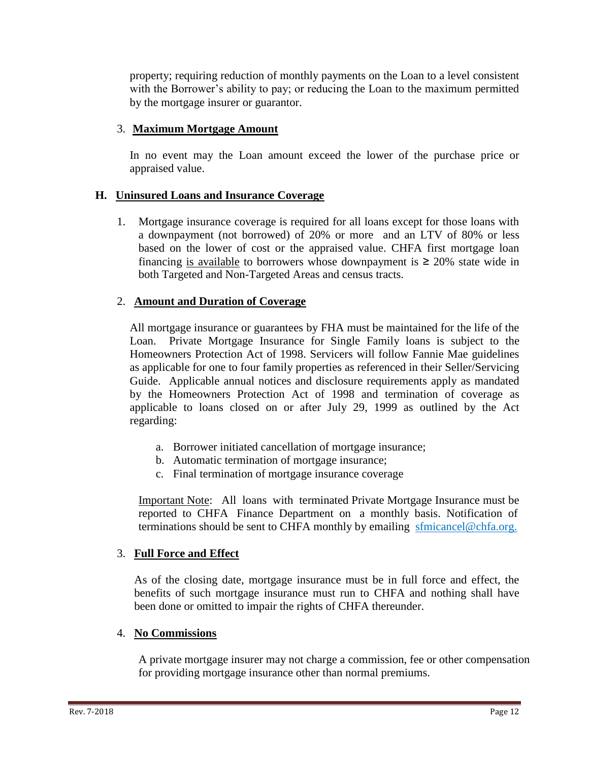property; requiring reduction of monthly payments on the Loan to a level consistent with the Borrower's ability to pay; or reducing the Loan to the maximum permitted by the mortgage insurer or guarantor.

#### 3. **Maximum Mortgage Amount**

In no event may the Loan amount exceed the lower of the purchase price or appraised value.

#### **H. Uninsured Loans and Insurance Coverage**

1. Mortgage insurance coverage is required for all loans except for those loans with a downpayment (not borrowed) of 20% or more and an LTV of 80% or less based on the lower of cost or the appraised value. CHFA first mortgage loan financing is available to borrowers whose downpayment is  $\geq 20\%$  state wide in both Targeted and Non-Targeted Areas and census tracts.

#### 2. **Amount and Duration of Coverage**

 All mortgage insurance or guarantees by FHA must be maintained for the life of the Loan. Private Mortgage Insurance for Single Family loans is subject to the Homeowners Protection Act of 1998. Servicers will follow Fannie Mae guidelines as applicable for one to four family properties as referenced in their Seller/Servicing Guide. Applicable annual notices and disclosure requirements apply as mandated by the Homeowners Protection Act of 1998 and termination of coverage as applicable to loans closed on or after July 29, 1999 as outlined by the Act regarding:

- a. Borrower initiated cancellation of mortgage insurance;
- b. Automatic termination of mortgage insurance;
- c. Final termination of mortgage insurance coverage

Important Note: All loans with terminated Private Mortgage Insurance must be reported to CHFA Finance Department on a monthly basis. Notification of terminations should be sent to CHFA monthly by emailing sfmicancel@chfa.org.

#### 3. **Full Force and Effect**

As of the closing date, mortgage insurance must be in full force and effect, the benefits of such mortgage insurance must run to CHFA and nothing shall have been done or omitted to impair the rights of CHFA thereunder.

#### 4. **No Commissions**

A private mortgage insurer may not charge a commission, fee or other compensation for providing mortgage insurance other than normal premiums.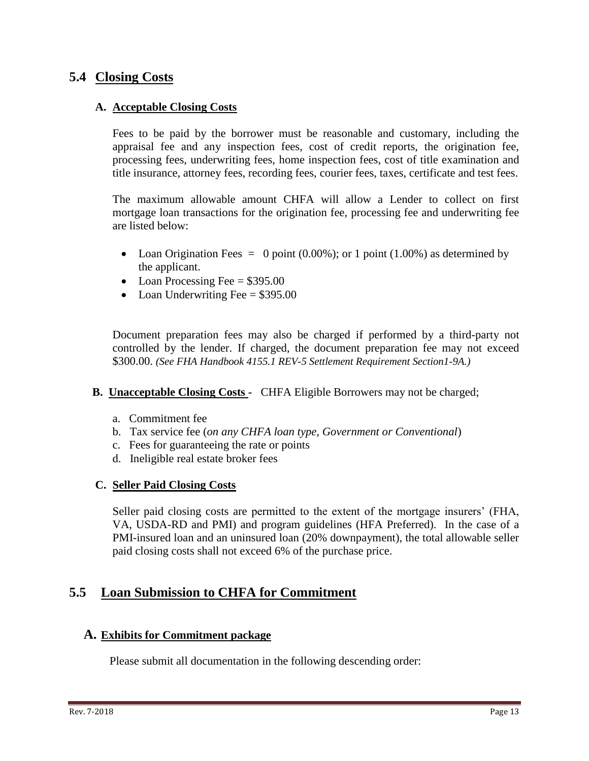## **5.4 Closing Costs**

#### **A. Acceptable Closing Costs**

Fees to be paid by the borrower must be reasonable and customary, including the appraisal fee and any inspection fees, cost of credit reports, the origination fee, processing fees, underwriting fees, home inspection fees, cost of title examination and title insurance, attorney fees, recording fees, courier fees, taxes, certificate and test fees.

The maximum allowable amount CHFA will allow a Lender to collect on first mortgage loan transactions for the origination fee, processing fee and underwriting fee are listed below:

- Loan Origination Fees  $= 0$  point (0.00%); or 1 point (1.00%) as determined by the applicant.
- Loan Processing Fee  $= $395.00$
- Loan Underwriting Fee  $= $395.00$

Document preparation fees may also be charged if performed by a third-party not controlled by the lender. If charged, the document preparation fee may not exceed \$300.00. *(See FHA Handbook 4155.1 REV-5 Settlement Requirement Section1-9A.)*

- **B. Unacceptable Closing Costs** CHFA Eligible Borrowers may not be charged;
	- a. Commitment fee
	- b. Tax service fee (*on any CHFA loan type, Government or Conventional*)
	- c. Fees for guaranteeing the rate or points
	- d. Ineligible real estate broker fees

#### **C. Seller Paid Closing Costs**

Seller paid closing costs are permitted to the extent of the mortgage insurers' (FHA, VA, USDA-RD and PMI) and program guidelines (HFA Preferred). In the case of a PMI-insured loan and an uninsured loan (20% downpayment), the total allowable seller paid closing costs shall not exceed 6% of the purchase price.

## **5.5 Loan Submission to CHFA for Commitment**

#### **A. Exhibits for Commitment package**

Please submit all documentation in the following descending order: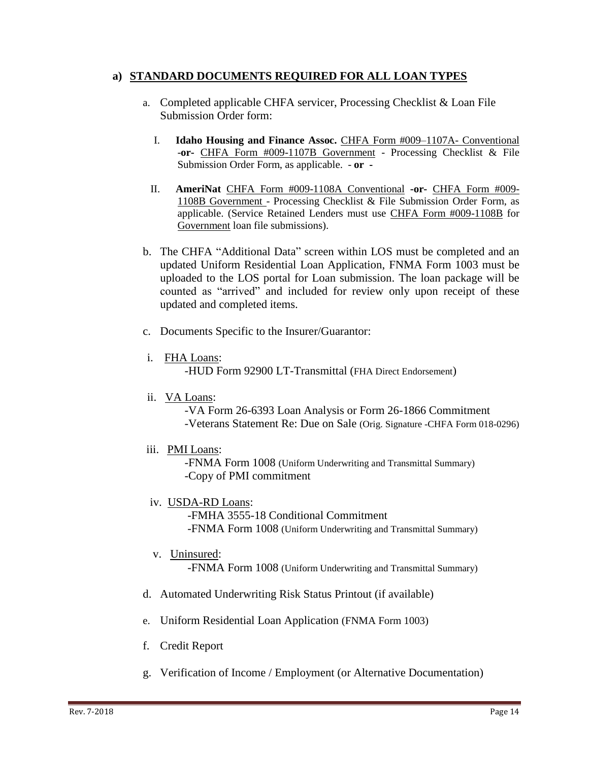#### **a) STANDARD DOCUMENTS REQUIRED FOR ALL LOAN TYPES**

- a. Completed applicable CHFA servicer, Processing Checklist & Loan File Submission Order form:
	- I. **Idaho Housing and Finance Assoc.** CHFA Form #009–1107A- Conventional -**or-** CHFA Form #009-1107B Government - Processing Checklist & File Submission Order Form, as applicable. - **or -**
	- II. **AmeriNat** CHFA Form #009-1108A Conventional **-or-** CHFA Form #009- 1108B Government - Processing Checklist & File Submission Order Form, as applicable. (Service Retained Lenders must use CHFA Form #009-1108B for Government loan file submissions).
- b. The CHFA "Additional Data" screen within LOS must be completed and an updated Uniform Residential Loan Application, FNMA Form 1003 must be uploaded to the LOS portal for Loan submission. The loan package will be counted as "arrived" and included for review only upon receipt of these updated and completed items.
- c. Documents Specific to the Insurer/Guarantor:
- i. FHA Loans:

-HUD Form 92900 LT-Transmittal (FHA Direct Endorsement)

ii. VA Loans:

 -VA Form 26-6393 Loan Analysis or Form 26-1866 Commitment -Veterans Statement Re: Due on Sale (Orig. Signature -CHFA Form 018-0296)

iii. PMI Loans:

 -FNMA Form 1008 (Uniform Underwriting and Transmittal Summary) -Copy of PMI commitment

iv. USDA-RD Loans:

 -FMHA 3555-18 Conditional Commitment -FNMA Form 1008 (Uniform Underwriting and Transmittal Summary)

v. Uninsured:

-FNMA Form 1008 (Uniform Underwriting and Transmittal Summary)

- d. Automated Underwriting Risk Status Printout (if available)
- e. Uniform Residential Loan Application (FNMA Form 1003)
- f. Credit Report
- g. Verification of Income / Employment (or Alternative Documentation)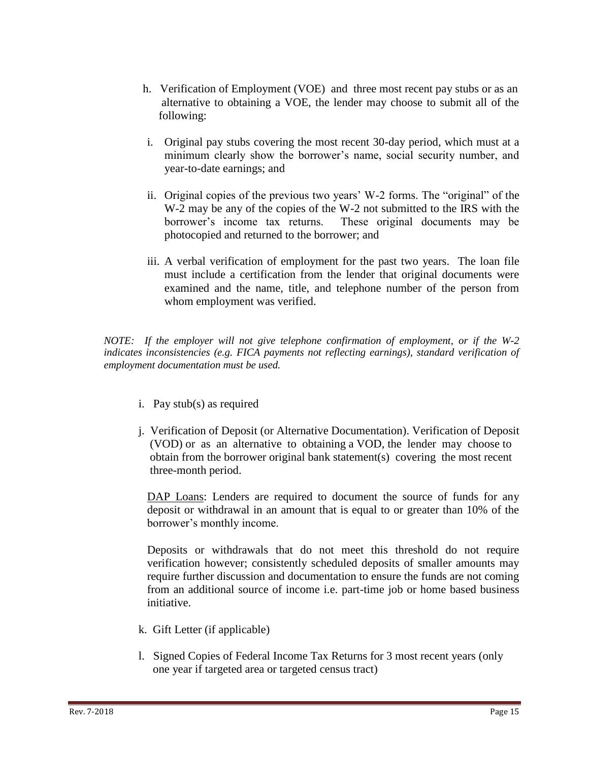- h. Verification of Employment (VOE) and three most recent pay stubs or as an alternative to obtaining a VOE, the lender may choose to submit all of the following:
- i. Original pay stubs covering the most recent 30-day period, which must at a minimum clearly show the borrower's name, social security number, and year-to-date earnings; and
- ii. Original copies of the previous two years' W-2 forms. The "original" of the W-2 may be any of the copies of the W-2 not submitted to the IRS with the borrower's income tax returns. These original documents may be photocopied and returned to the borrower; and
- iii. A verbal verification of employment for the past two years. The loan file must include a certification from the lender that original documents were examined and the name, title, and telephone number of the person from whom employment was verified.

*NOTE: If the employer will not give telephone confirmation of employment, or if the W-2 indicates inconsistencies (e.g. FICA payments not reflecting earnings), standard verification of employment documentation must be used.*

- i. Pay stub(s) as required
- j. Verification of Deposit (or Alternative Documentation). Verification of Deposit (VOD) or as an alternative to obtaining a VOD, the lender may choose to obtain from the borrower original bank statement(s) covering the most recent three-month period.

DAP Loans: Lenders are required to document the source of funds for any deposit or withdrawal in an amount that is equal to or greater than 10% of the borrower's monthly income.

Deposits or withdrawals that do not meet this threshold do not require verification however; consistently scheduled deposits of smaller amounts may require further discussion and documentation to ensure the funds are not coming from an additional source of income i.e. part-time job or home based business initiative.

- k. Gift Letter (if applicable)
- l. Signed Copies of Federal Income Tax Returns for 3 most recent years (only one year if targeted area or targeted census tract)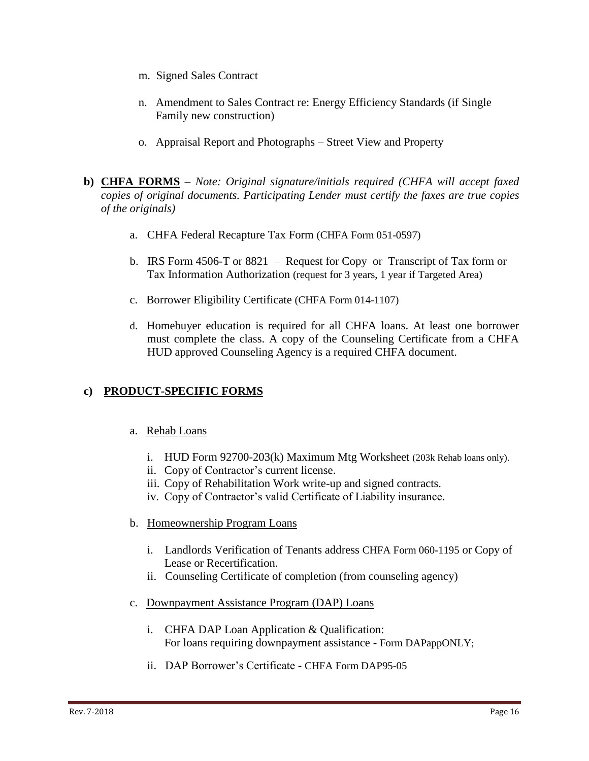- m. Signed Sales Contract
- n. Amendment to Sales Contract re: Energy Efficiency Standards (if Single Family new construction)
- o. Appraisal Report and Photographs Street View and Property
- **b) CHFA FORMS** *Note: Original signature/initials required (CHFA will accept faxed copies of original documents. Participating Lender must certify the faxes are true copies of the originals)*
	- a. CHFA Federal Recapture Tax Form (CHFA Form 051-0597)
	- b. IRS Form 4506-T or 8821 Request for Copy or Transcript of Tax form or Tax Information Authorization (request for 3 years, 1 year if Targeted Area)
	- c. Borrower Eligibility Certificate (CHFA Form 014-1107)
	- d. Homebuyer education is required for all CHFA loans. At least one borrower must complete the class. A copy of the Counseling Certificate from a CHFA HUD approved Counseling Agency is a required CHFA document.

## **c) PRODUCT-SPECIFIC FORMS**

- a. Rehab Loans
	- i. HUD Form 92700-203(k) Maximum Mtg Worksheet (203k Rehab loans only).
	- ii. Copy of Contractor's current license.
	- iii. Copy of Rehabilitation Work write-up and signed contracts.
	- iv. Copy of Contractor's valid Certificate of Liability insurance.
- b. Homeownership Program Loans
	- i. Landlords Verification of Tenants address CHFA Form 060-1195 or Copy of Lease or Recertification.
	- ii. Counseling Certificate of completion (from counseling agency)
- c. Downpayment Assistance Program (DAP) Loans
	- i. CHFA DAP Loan Application & Qualification: For loans requiring downpayment assistance - Form DAPappONLY;
	- ii. DAP Borrower's Certificate CHFA Form DAP95-05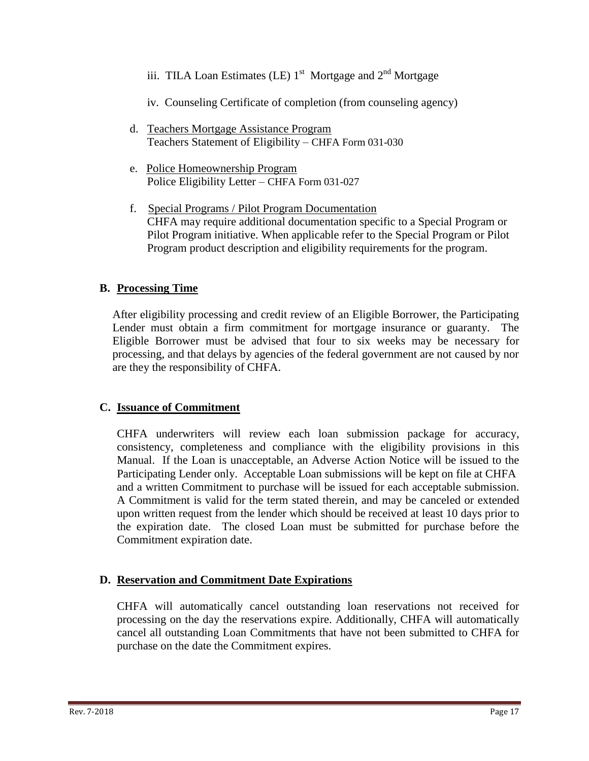- iii. TILA Loan Estimates (LE)  $1<sup>st</sup>$  Mortgage and  $2<sup>nd</sup>$  Mortgage
	- iv. Counseling Certificate of completion (from counseling agency)
	- d. Teachers Mortgage Assistance Program Teachers Statement of Eligibility – CHFA Form 031-030
	- e. Police Homeownership Program Police Eligibility Letter – CHFA Form 031-027
	- f. Special Programs / Pilot Program Documentation CHFA may require additional documentation specific to a Special Program or Pilot Program initiative. When applicable refer to the Special Program or Pilot Program product description and eligibility requirements for the program.

## **B. Processing Time**

After eligibility processing and credit review of an Eligible Borrower, the Participating Lender must obtain a firm commitment for mortgage insurance or guaranty. The Eligible Borrower must be advised that four to six weeks may be necessary for processing, and that delays by agencies of the federal government are not caused by nor are they the responsibility of CHFA.

#### **C. Issuance of Commitment**

CHFA underwriters will review each loan submission package for accuracy, consistency, completeness and compliance with the eligibility provisions in this Manual. If the Loan is unacceptable, an Adverse Action Notice will be issued to the Participating Lender only. Acceptable Loan submissions will be kept on file at CHFA and a written Commitment to purchase will be issued for each acceptable submission. A Commitment is valid for the term stated therein, and may be canceled or extended upon written request from the lender which should be received at least 10 days prior to the expiration date. The closed Loan must be submitted for purchase before the Commitment expiration date.

#### **D. Reservation and Commitment Date Expirations**

CHFA will automatically cancel outstanding loan reservations not received for processing on the day the reservations expire. Additionally, CHFA will automatically cancel all outstanding Loan Commitments that have not been submitted to CHFA for purchase on the date the Commitment expires.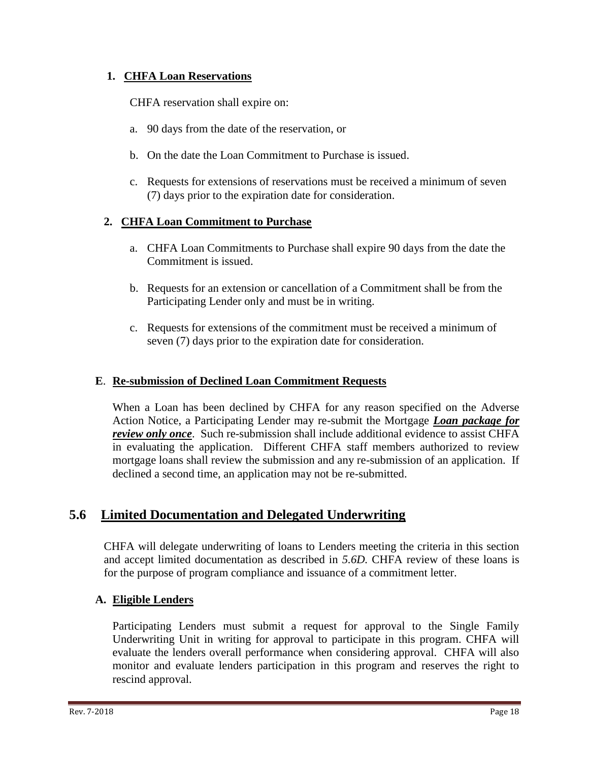#### **1. CHFA Loan Reservations**

CHFA reservation shall expire on:

- a. 90 days from the date of the reservation, or
- b. On the date the Loan Commitment to Purchase is issued.
- c. Requests for extensions of reservations must be received a minimum of seven (7) days prior to the expiration date for consideration.

## **2. CHFA Loan Commitment to Purchase**

- a. CHFA Loan Commitments to Purchase shall expire 90 days from the date the Commitment is issued.
- b. Requests for an extension or cancellation of a Commitment shall be from the Participating Lender only and must be in writing.
- c. Requests for extensions of the commitment must be received a minimum of seven (7) days prior to the expiration date for consideration.

#### **E**. **Re-submission of Declined Loan Commitment Requests**

When a Loan has been declined by CHFA for any reason specified on the Adverse Action Notice, a Participating Lender may re-submit the Mortgage *Loan package for review only once*. Such re-submission shall include additional evidence to assist CHFA in evaluating the application. Different CHFA staff members authorized to review mortgage loans shall review the submission and any re-submission of an application. If declined a second time, an application may not be re-submitted.

## **5.6 Limited Documentation and Delegated Underwriting**

CHFA will delegate underwriting of loans to Lenders meeting the criteria in this section and accept limited documentation as described in *5.6D.* CHFA review of these loans is for the purpose of program compliance and issuance of a commitment letter.

## **A. Eligible Lenders**

Participating Lenders must submit a request for approval to the Single Family Underwriting Unit in writing for approval to participate in this program. CHFA will evaluate the lenders overall performance when considering approval. CHFA will also monitor and evaluate lenders participation in this program and reserves the right to rescind approval.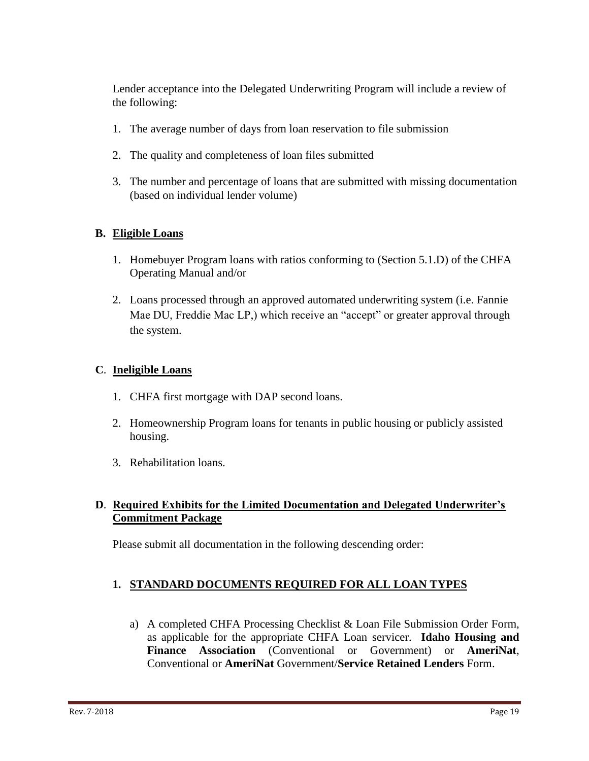Lender acceptance into the Delegated Underwriting Program will include a review of the following:

- 1. The average number of days from loan reservation to file submission
- 2. The quality and completeness of loan files submitted
- 3. The number and percentage of loans that are submitted with missing documentation (based on individual lender volume)

#### **B. Eligible Loans**

- 1. Homebuyer Program loans with ratios conforming to (Section 5.1.D) of the CHFA Operating Manual and/or
- 2. Loans processed through an approved automated underwriting system (i.e. Fannie Mae DU, Freddie Mac LP,) which receive an "accept" or greater approval through the system.

#### **C**. **Ineligible Loans**

- 1. CHFA first mortgage with DAP second loans.
- 2. Homeownership Program loans for tenants in public housing or publicly assisted housing.
- 3. Rehabilitation loans.

## **D**. **Required Exhibits for the Limited Documentation and Delegated Underwriter's Commitment Package**

Please submit all documentation in the following descending order:

## **1. STANDARD DOCUMENTS REQUIRED FOR ALL LOAN TYPES**

a) A completed CHFA Processing Checklist & Loan File Submission Order Form, as applicable for the appropriate CHFA Loan servicer. **Idaho Housing and Finance Association** (Conventional or Government) or **AmeriNat**, Conventional or **AmeriNat** Government/**Service Retained Lenders** Form.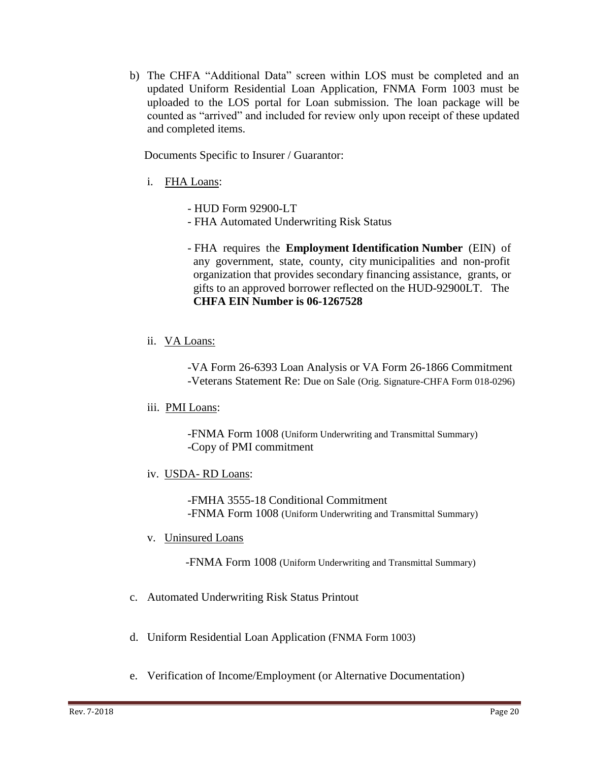b) The CHFA "Additional Data" screen within LOS must be completed and an updated Uniform Residential Loan Application, FNMA Form 1003 must be uploaded to the LOS portal for Loan submission. The loan package will be counted as "arrived" and included for review only upon receipt of these updated and completed items.

Documents Specific to Insurer / Guarantor:

- i. FHA Loans:
	- HUD Form 92900-LT
	- FHA Automated Underwriting Risk Status
	- FHA requires the **Employment Identification Number** (EIN) of any government, state, county, city municipalities and non-profit organization that provides secondary financing assistance, grants, or gifts to an approved borrower reflected on the HUD-92900LT. The  **CHFA EIN Number is 06-1267528**
- ii. VA Loans:

 -VA Form 26-6393 Loan Analysis or VA Form 26-1866 Commitment -Veterans Statement Re: Due on Sale (Orig. Signature-CHFA Form 018-0296)

iii. PMI Loans:

 -FNMA Form 1008 (Uniform Underwriting and Transmittal Summary) -Copy of PMI commitment

iv. USDA- RD Loans:

 -FMHA 3555-18 Conditional Commitment -FNMA Form 1008 (Uniform Underwriting and Transmittal Summary)

v. Uninsured Loans

-FNMA Form 1008 (Uniform Underwriting and Transmittal Summary)

- c. Automated Underwriting Risk Status Printout
- d. Uniform Residential Loan Application (FNMA Form 1003)
- e. Verification of Income/Employment (or Alternative Documentation)